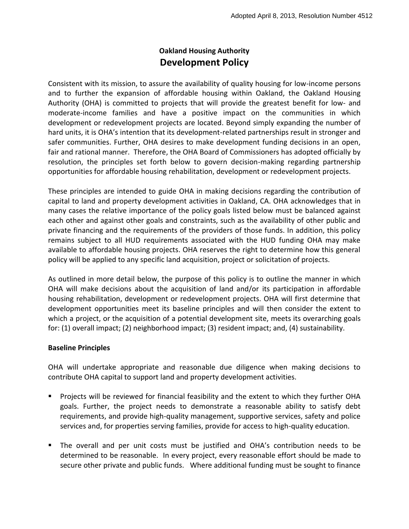## **Oakland Housing Authority Development Policy**

Consistent with its mission, to assure the availability of quality housing for low-income persons and to further the expansion of affordable housing within Oakland, the Oakland Housing Authority (OHA) is committed to projects that will provide the greatest benefit for low- and moderate-income families and have a positive impact on the communities in which development or redevelopment projects are located. Beyond simply expanding the number of hard units, it is OHA's intention that its development-related partnerships result in stronger and safer communities. Further, OHA desires to make development funding decisions in an open, fair and rational manner. Therefore, the OHA Board of Commissioners has adopted officially by resolution, the principles set forth below to govern decision-making regarding partnership opportunities for affordable housing rehabilitation, development or redevelopment projects.

These principles are intended to guide OHA in making decisions regarding the contribution of capital to land and property development activities in Oakland, CA. OHA acknowledges that in many cases the relative importance of the policy goals listed below must be balanced against each other and against other goals and constraints, such as the availability of other public and private financing and the requirements of the providers of those funds. In addition, this policy remains subject to all HUD requirements associated with the HUD funding OHA may make available to affordable housing projects. OHA reserves the right to determine how this general policy will be applied to any specific land acquisition, project or solicitation of projects.

As outlined in more detail below, the purpose of this policy is to outline the manner in which OHA will make decisions about the acquisition of land and/or its participation in affordable housing rehabilitation, development or redevelopment projects. OHA will first determine that development opportunities meet its baseline principles and will then consider the extent to which a project, or the acquisition of a potential development site, meets its overarching goals for: (1) overall impact; (2) neighborhood impact; (3) resident impact; and, (4) sustainability.

## **Baseline Principles**

OHA will undertake appropriate and reasonable due diligence when making decisions to contribute OHA capital to support land and property development activities.

- **Projects will be reviewed for financial feasibility and the extent to which they further OHA** goals. Further, the project needs to demonstrate a reasonable ability to satisfy debt requirements, and provide high-quality management, supportive services, safety and police services and, for properties serving families, provide for access to high-quality education.
- The overall and per unit costs must be justified and OHA's contribution needs to be determined to be reasonable. In every project, every reasonable effort should be made to secure other private and public funds. Where additional funding must be sought to finance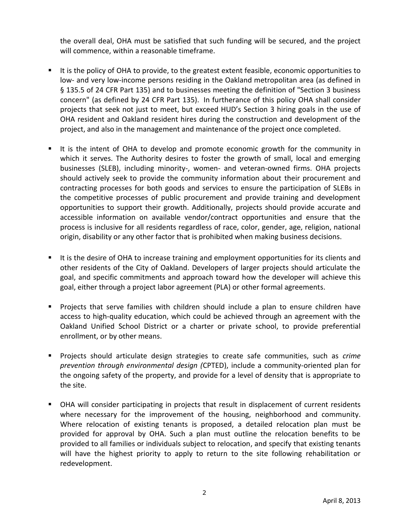the overall deal, OHA must be satisfied that such funding will be secured, and the project will commence, within a reasonable timeframe.

- It is the policy of OHA to provide, to the greatest extent feasible, economic opportunities to low- and very low-income persons residing in the Oakland metropolitan area (as defined in § 135.5 of 24 CFR Part 135) and to businesses meeting the definition of "Section 3 business concern" (as defined by 24 CFR Part 135). In furtherance of this policy OHA shall consider projects that seek not just to meet, but exceed HUD's Section 3 hiring goals in the use of OHA resident and Oakland resident hires during the construction and development of the project, and also in the management and maintenance of the project once completed.
- It is the intent of OHA to develop and promote economic growth for the community in which it serves. The Authority desires to foster the growth of small, local and emerging businesses (SLEB), including minority-, women- and veteran-owned firms. OHA projects should actively seek to provide the community information about their procurement and contracting processes for both goods and services to ensure the participation of SLEBs in the competitive processes of public procurement and provide training and development opportunities to support their growth. Additionally, projects should provide accurate and accessible information on available vendor/contract opportunities and ensure that the process is inclusive for all residents regardless of race, color, gender, age, religion, national origin, disability or any other factor that is prohibited when making business decisions.
- If it is the desire of OHA to increase training and employment opportunities for its clients and other residents of the City of Oakland. Developers of larger projects should articulate the goal, and specific commitments and approach toward how the developer will achieve this goal, either through a project labor agreement (PLA) or other formal agreements.
- Projects that serve families with children should include a plan to ensure children have access to high-quality education, which could be achieved through an agreement with the Oakland Unified School District or a charter or private school, to provide preferential enrollment, or by other means.
- Projects should articulate design strategies to create safe communities, such as *crime prevention through environmental design (*CPTED), include a community-oriented plan for the ongoing safety of the property, and provide for a level of density that is appropriate to the site.
- OHA will consider participating in projects that result in displacement of current residents where necessary for the improvement of the housing, neighborhood and community. Where relocation of existing tenants is proposed, a detailed relocation plan must be provided for approval by OHA. Such a plan must outline the relocation benefits to be provided to all families or individuals subject to relocation, and specify that existing tenants will have the highest priority to apply to return to the site following rehabilitation or redevelopment.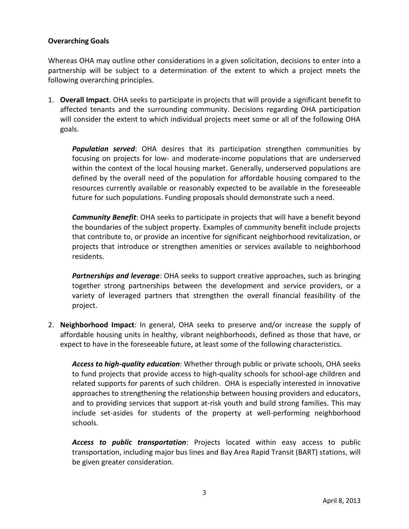## **Overarching Goals**

Whereas OHA may outline other considerations in a given solicitation, decisions to enter into a partnership will be subject to a determination of the extent to which a project meets the following overarching principles.

1. **Overall Impact**. OHA seeks to participate in projects that will provide a significant benefit to affected tenants and the surrounding community. Decisions regarding OHA participation will consider the extent to which individual projects meet some or all of the following OHA goals.

*Population served*: OHA desires that its participation strengthen communities by focusing on projects for low- and moderate-income populations that are underserved within the context of the local housing market. Generally, underserved populations are defined by the overall need of the population for affordable housing compared to the resources currently available or reasonably expected to be available in the foreseeable future for such populations. Funding proposals should demonstrate such a need.

*Community Benefit*: OHA seeks to participate in projects that will have a benefit beyond the boundaries of the subject property. Examples of community benefit include projects that contribute to, or provide an incentive for significant neighborhood revitalization, or projects that introduce or strengthen amenities or services available to neighborhood residents.

*Partnerships and leverage*: OHA seeks to support creative approaches, such as bringing together strong partnerships between the development and service providers, or a variety of leveraged partners that strengthen the overall financial feasibility of the project.

2. **Neighborhood Impact**: In general, OHA seeks to preserve and/or increase the supply of affordable housing units in healthy, vibrant neighborhoods, defined as those that have, or expect to have in the foreseeable future, at least some of the following characteristics.

*Access to high-quality education*: Whether through public or private schools, OHA seeks to fund projects that provide access to high-quality schools for school-age children and related supports for parents of such children. OHA is especially interested in innovative approaches to strengthening the relationship between housing providers and educators, and to providing services that support at-risk youth and build strong families. This may include set-asides for students of the property at well-performing neighborhood schools.

*Access to public transportation*: Projects located within easy access to public transportation, including major bus lines and Bay Area Rapid Transit (BART) stations, will be given greater consideration.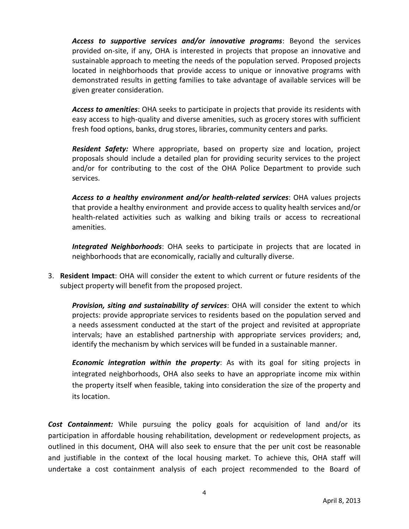*Access to supportive services and/or innovative programs*: Beyond the services provided on-site, if any, OHA is interested in projects that propose an innovative and sustainable approach to meeting the needs of the population served. Proposed projects located in neighborhoods that provide access to unique or innovative programs with demonstrated results in getting families to take advantage of available services will be given greater consideration.

*Access to amenities*: OHA seeks to participate in projects that provide its residents with easy access to high-quality and diverse amenities, such as grocery stores with sufficient fresh food options, banks, drug stores, libraries, community centers and parks.

*Resident Safety:* Where appropriate, based on property size and location, project proposals should include a detailed plan for providing security services to the project and/or for contributing to the cost of the OHA Police Department to provide such services.

*Access to a healthy environment and/or health-related services*: OHA values projects that provide a healthy environment and provide access to quality health services and/or health-related activities such as walking and biking trails or access to recreational amenities.

*Integrated Neighborhoods*: OHA seeks to participate in projects that are located in neighborhoods that are economically, racially and culturally diverse.

3. **Resident Impact**: OHA will consider the extent to which current or future residents of the subject property will benefit from the proposed project.

*Provision, siting and sustainability of services*: OHA will consider the extent to which projects: provide appropriate services to residents based on the population served and a needs assessment conducted at the start of the project and revisited at appropriate intervals; have an established partnership with appropriate services providers; and, identify the mechanism by which services will be funded in a sustainable manner.

*Economic integration within the property*: As with its goal for siting projects in integrated neighborhoods, OHA also seeks to have an appropriate income mix within the property itself when feasible, taking into consideration the size of the property and its location.

*Cost Containment:* While pursuing the policy goals for acquisition of land and/or its participation in affordable housing rehabilitation, development or redevelopment projects, as outlined in this document, OHA will also seek to ensure that the per unit cost be reasonable and justifiable in the context of the local housing market. To achieve this, OHA staff will undertake a cost containment analysis of each project recommended to the Board of